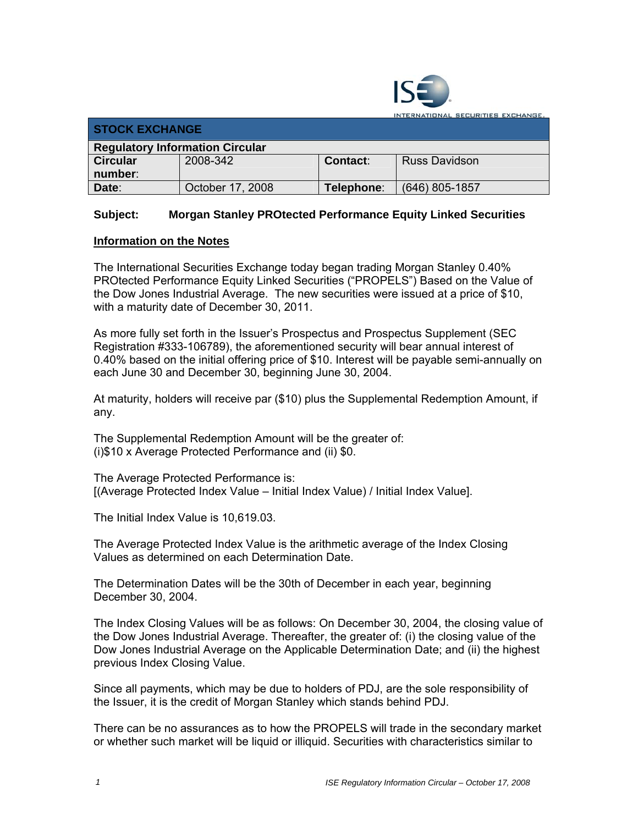

INTERNATIONAL SECURITIES EXCHANGE,

| <b>STOCK EXCHANGE</b>                  |                  |            |                      |  |  |
|----------------------------------------|------------------|------------|----------------------|--|--|
| <b>Regulatory Information Circular</b> |                  |            |                      |  |  |
| <b>Circular</b>                        | 2008-342         | Contact:   | <b>Russ Davidson</b> |  |  |
| number:                                |                  |            |                      |  |  |
| Date:                                  | October 17, 2008 | Telephone∶ | $(646)$ 805-1857     |  |  |

## **Subject: Morgan Stanley PROtected Performance Equity Linked Securities**

## **Information on the Notes**

The International Securities Exchange today began trading Morgan Stanley 0.40% PROtected Performance Equity Linked Securities ("PROPELS") Based on the Value of the Dow Jones Industrial Average. The new securities were issued at a price of \$10, with a maturity date of December 30, 2011.

As more fully set forth in the Issuer's Prospectus and Prospectus Supplement (SEC Registration #333-106789), the aforementioned security will bear annual interest of 0.40% based on the initial offering price of \$10. Interest will be payable semi-annually on each June 30 and December 30, beginning June 30, 2004.

At maturity, holders will receive par (\$10) plus the Supplemental Redemption Amount, if any.

The Supplemental Redemption Amount will be the greater of: (i)\$10 x Average Protected Performance and (ii) \$0.

The Average Protected Performance is: [(Average Protected Index Value – Initial Index Value) / Initial Index Value].

The Initial Index Value is 10,619.03.

The Average Protected Index Value is the arithmetic average of the Index Closing Values as determined on each Determination Date.

The Determination Dates will be the 30th of December in each year, beginning December 30, 2004.

The Index Closing Values will be as follows: On December 30, 2004, the closing value of the Dow Jones Industrial Average. Thereafter, the greater of: (i) the closing value of the Dow Jones Industrial Average on the Applicable Determination Date; and (ii) the highest previous Index Closing Value.

Since all payments, which may be due to holders of PDJ, are the sole responsibility of the Issuer, it is the credit of Morgan Stanley which stands behind PDJ.

There can be no assurances as to how the PROPELS will trade in the secondary market or whether such market will be liquid or illiquid. Securities with characteristics similar to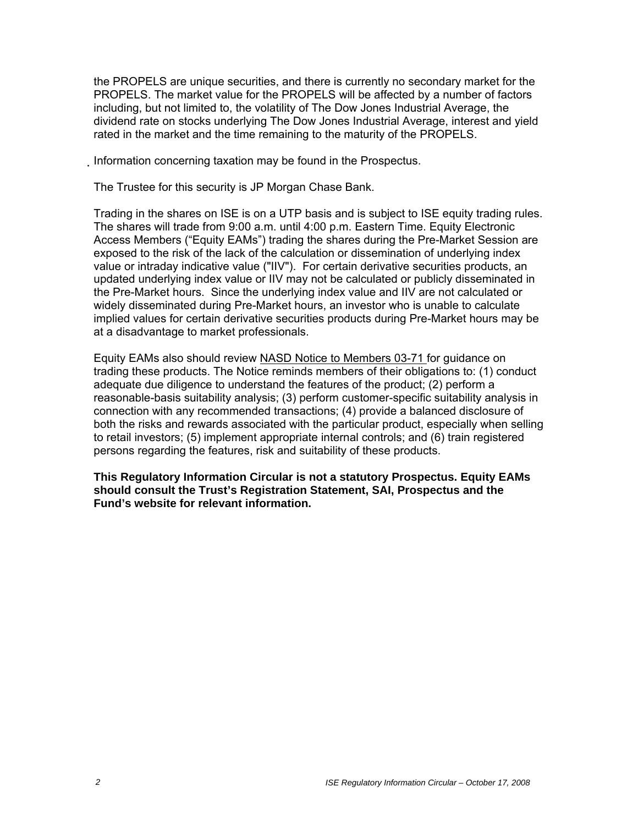the PROPELS are unique securities, and there is currently no secondary market for the PROPELS. The market value for the PROPELS will be affected by a number of factors including, but not limited to, the volatility of The Dow Jones Industrial Average, the dividend rate on stocks underlying The Dow Jones Industrial Average, interest and yield rated in the market and the time remaining to the maturity of the PROPELS.

Information concerning taxation may be found in the Prospectus.

The Trustee for this security is JP Morgan Chase Bank.

Trading in the shares on ISE is on a UTP basis and is subject to ISE equity trading rules. The shares will trade from 9:00 a.m. until 4:00 p.m. Eastern Time. Equity Electronic Access Members ("Equity EAMs") trading the shares during the Pre-Market Session are exposed to the risk of the lack of the calculation or dissemination of underlying index value or intraday indicative value ("IIV"). For certain derivative securities products, an updated underlying index value or IIV may not be calculated or publicly disseminated in the Pre-Market hours. Since the underlying index value and IIV are not calculated or widely disseminated during Pre-Market hours, an investor who is unable to calculate implied values for certain derivative securities products during Pre-Market hours may be at a disadvantage to market professionals.

Equity EAMs also should review NASD Notice to Members 03-71 for guidance on trading these products. The Notice reminds members of their obligations to: (1) conduct adequate due diligence to understand the features of the product; (2) perform a reasonable-basis suitability analysis; (3) perform customer-specific suitability analysis in connection with any recommended transactions; (4) provide a balanced disclosure of both the risks and rewards associated with the particular product, especially when selling to retail investors; (5) implement appropriate internal controls; and (6) train registered persons regarding the features, risk and suitability of these products.

**This Regulatory Information Circular is not a statutory Prospectus. Equity EAMs should consult the Trust's Registration Statement, SAI, Prospectus and the Fund's website for relevant information.**